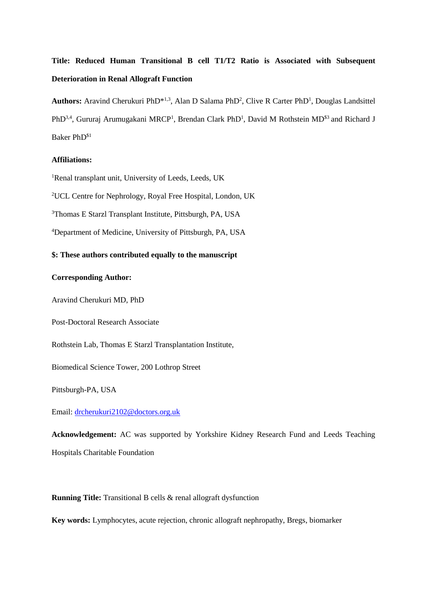# **Title: Reduced Human Transitional B cell T1/T2 Ratio is Associated with Subsequent Deterioration in Renal Allograft Function**

Authors: Aravind Cherukuri PhD<sup>\*1,3</sup>, Alan D Salama PhD<sup>2</sup>, Clive R Carter PhD<sup>1</sup>, Douglas Landsittel PhD<sup>3,4</sup>, Gururaj Arumugakani MRCP<sup>1</sup>, Brendan Clark PhD<sup>1</sup>, David M Rothstein MD<sup>\$3</sup> and Richard J Baker PhD\$1

# **Affiliations:**

<sup>1</sup>Renal transplant unit, University of Leeds, Leeds, UK

<sup>2</sup>UCL Centre for Nephrology, Royal Free Hospital, London, UK

<sup>3</sup>Thomas E Starzl Transplant Institute, Pittsburgh, PA, USA

<sup>4</sup>Department of Medicine, University of Pittsburgh, PA, USA

# **\$: These authors contributed equally to the manuscript**

### **Corresponding Author:**

Aravind Cherukuri MD, PhD

Post-Doctoral Research Associate

Rothstein Lab, Thomas E Starzl Transplantation Institute,

Biomedical Science Tower, 200 Lothrop Street

Pittsburgh-PA, USA

Email: [drcherukuri2102@doctors.org.uk](mailto:drcherukuri2102@doctors.org.uk)

**Acknowledgement:** AC was supported by Yorkshire Kidney Research Fund and Leeds Teaching Hospitals Charitable Foundation

**Running Title:** Transitional B cells & renal allograft dysfunction

**Key words:** Lymphocytes, acute rejection, chronic allograft nephropathy, Bregs, biomarker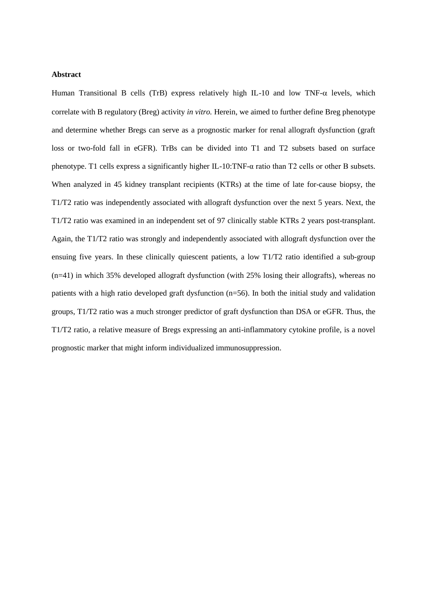# **Abstract**

Human Transitional B cells (TrB) express relatively high IL-10 and low TNF- $\alpha$  levels, which correlate with B regulatory (Breg) activity *in vitro.* Herein, we aimed to further define Breg phenotype and determine whether Bregs can serve as a prognostic marker for renal allograft dysfunction (graft loss or two-fold fall in eGFR). TrBs can be divided into T1 and T2 subsets based on surface phenotype. T1 cells express a significantly higher IL-10:TNF-α ratio than T2 cells or other B subsets. When analyzed in 45 kidney transplant recipients (KTRs) at the time of late for-cause biopsy, the T1/T2 ratio was independently associated with allograft dysfunction over the next 5 years. Next, the T1/T2 ratio was examined in an independent set of 97 clinically stable KTRs 2 years post-transplant. Again, the T1/T2 ratio was strongly and independently associated with allograft dysfunction over the ensuing five years. In these clinically quiescent patients, a low T1/T2 ratio identified a sub-group (n=41) in which 35% developed allograft dysfunction (with 25% losing their allografts), whereas no patients with a high ratio developed graft dysfunction (n=56). In both the initial study and validation groups, T1/T2 ratio was a much stronger predictor of graft dysfunction than DSA or eGFR. Thus, the T1/T2 ratio, a relative measure of Bregs expressing an anti-inflammatory cytokine profile, is a novel prognostic marker that might inform individualized immunosuppression.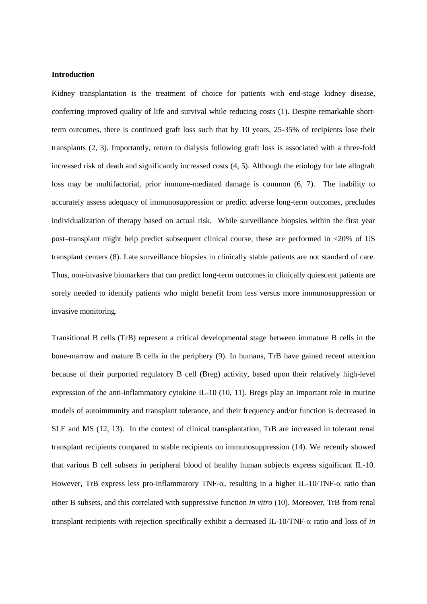## **Introduction**

Kidney transplantation is the treatment of choice for patients with end-stage kidney disease, conferring improved quality of life and survival while reducing costs [\(1\)](#page-14-0). Despite remarkable shortterm outcomes, there is continued graft loss such that by 10 years, 25-35% of recipients lose their transplants [\(2,](#page-15-0) [3\)](#page-15-1). Importantly, return to dialysis following graft loss is associated with a three-fold increased risk of death and significantly increased costs [\(4,](#page-15-2) [5\)](#page-15-3). Although the etiology for late allograft loss may be multifactorial, prior immune-mediated damage is common [\(6,](#page-15-4) [7\)](#page-15-5). The inability to accurately assess adequacy of immunosuppression or predict adverse long-term outcomes, precludes individualization of therapy based on actual risk. While surveillance biopsies within the first year post–transplant might help predict subsequent clinical course, these are performed in <20% of US transplant centers [\(8\)](#page-15-6). Late surveillance biopsies in clinically stable patients are not standard of care. Thus, non-invasive biomarkers that can predict long-term outcomes in clinically quiescent patients are sorely needed to identify patients who might benefit from less versus more immunosuppression or invasive monitoring.

Transitional B cells (TrB) represent a critical developmental stage between immature B cells in the bone-marrow and mature B cells in the periphery [\(9\)](#page-15-7). In humans, TrB have gained recent attention because of their purported regulatory B cell (Breg) activity, based upon their relatively high-level expression of the anti-inflammatory cytokine IL-10 [\(10,](#page-15-8) [11\)](#page-15-9). Bregs play an important role in murine models of autoimmunity and transplant tolerance, and their frequency and/or function is decreased in SLE and MS [\(12,](#page-15-10) [13\)](#page-15-11). In the context of clinical transplantation, TrB are increased in tolerant renal transplant recipients compared to stable recipients on immunosuppression [\(14\)](#page-15-12). We recently showed that various B cell subsets in peripheral blood of healthy human subjects express significant IL-10. However, TrB express less pro-inflammatory TNF- $\alpha$ , resulting in a higher IL-10/TNF- $\alpha$  ratio than other B subsets, and this correlated with suppressive function *in vitro* [\(10\)](#page-15-8). Moreover, TrB from renal transplant recipients with rejection specifically exhibit a decreased IL-10/TNF- $\alpha$  ratio and loss of *in*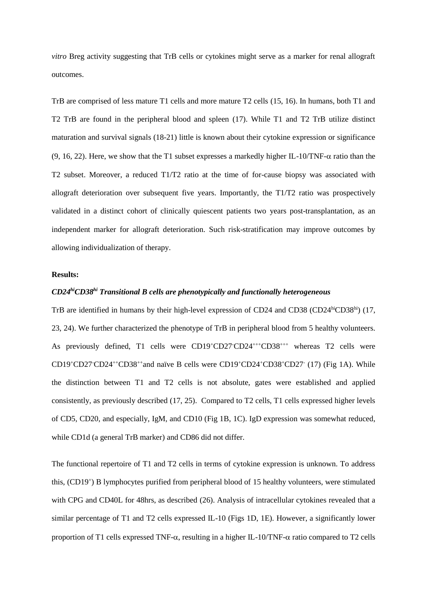*vitro* Breg activity suggesting that TrB cells or cytokines might serve as a marker for renal allograft outcomes.

TrB are comprised of less mature T1 cells and more mature T2 cells [\(15,](#page-15-13) [16\)](#page-15-14). In humans, both T1 and T2 TrB are found in the peripheral blood and spleen [\(17\)](#page-15-15). While T1 and T2 TrB utilize distinct maturation and survival signals [\(18-21\)](#page-15-16) little is known about their cytokine expression or significance [\(9,](#page-15-7) [16,](#page-15-14) [22\)](#page-16-0). Here, we show that the T1 subset expresses a markedly higher IL-10/TNF- $\alpha$  ratio than the T2 subset. Moreover, a reduced T1/T2 ratio at the time of for-cause biopsy was associated with allograft deterioration over subsequent five years. Importantly, the T1/T2 ratio was prospectively validated in a distinct cohort of clinically quiescent patients two years post-transplantation, as an independent marker for allograft deterioration. Such risk-stratification may improve outcomes by allowing individualization of therapy.

## **Results:**

# *CD24hiCD38hi Transitional B cells are phenotypically and functionally heterogeneous*

TrB are identified in humans by their high-level expression of CD24 and CD38 (CD24<sup>hi</sup>CD38<sup>hi</sup>) [\(17,](#page-15-15) [23,](#page-16-1) [24\)](#page-16-2). We further characterized the phenotype of TrB in peripheral blood from 5 healthy volunteers. As previously defined, T1 cells were CD19+CD27-CD24+++CD38+++ whereas T2 cells were CD19+CD27·CD24++CD38++and naïve B cells were CD19+CD24+CD38+CD27 $\cdot$  [\(17\)](#page-15-15) (Fig 1A). While the distinction between T1 and T2 cells is not absolute, gates were established and applied consistently, as previously described [\(17,](#page-15-15) [25\)](#page-16-3). Compared to T2 cells, T1 cells expressed higher levels of CD5, CD20, and especially, IgM, and CD10 (Fig 1B, 1C). IgD expression was somewhat reduced, while CD1d (a general TrB marker) and CD86 did not differ.

The functional repertoire of T1 and T2 cells in terms of cytokine expression is unknown. To address this, (CD19<sup>+</sup> ) B lymphocytes purified from peripheral blood of 15 healthy volunteers, were stimulated with CPG and CD40L for 48hrs, as described [\(26\)](#page-16-4). Analysis of intracellular cytokines revealed that a similar percentage of T1 and T2 cells expressed IL-10 (Figs 1D, 1E). However, a significantly lower proportion of T1 cells expressed TNF- $\alpha$ , resulting in a higher IL-10/TNF- $\alpha$  ratio compared to T2 cells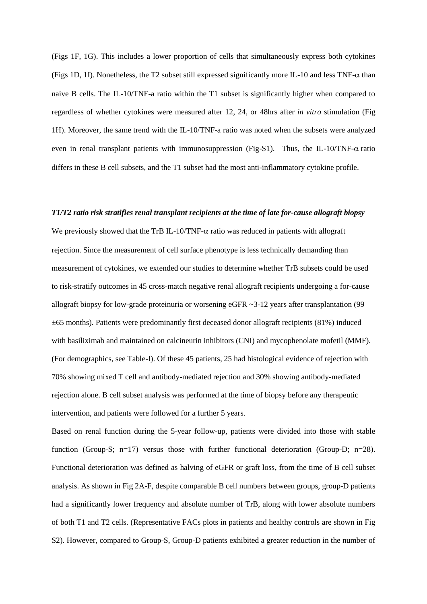(Figs 1F, 1G). This includes a lower proportion of cells that simultaneously express both cytokines (Figs 1D, 1I). Nonetheless, the T2 subset still expressed significantly more IL-10 and less TNF- $\alpha$  than naive B cells. The IL-10/TNF-a ratio within the T1 subset is significantly higher when compared to regardless of whether cytokines were measured after 12, 24, or 48hrs after *in vitro* stimulation (Fig 1H). Moreover, the same trend with the IL-10/TNF-a ratio was noted when the subsets were analyzed even in renal transplant patients with immunosuppression (Fig-S1). Thus, the IL-10/TNF- $\alpha$  ratio differs in these B cell subsets, and the T1 subset had the most anti-inflammatory cytokine profile.

#### *T1/T2 ratio risk stratifies renal transplant recipients at the time of late for-cause allograft biopsy*

We previously showed that the TrB IL-10/TNF- $\alpha$  ratio was reduced in patients with allograft rejection. Since the measurement of cell surface phenotype is less technically demanding than measurement of cytokines, we extended our studies to determine whether TrB subsets could be used to risk-stratify outcomes in 45 cross-match negative renal allograft recipients undergoing a for-cause allograft biopsy for low-grade proteinuria or worsening eGFR ~3-12 years after transplantation (99  $\pm 65$  months). Patients were predominantly first deceased donor allograft recipients (81%) induced with basiliximab and maintained on calcineurin inhibitors (CNI) and mycophenolate mofetil (MMF). (For demographics, see Table-I). Of these 45 patients, 25 had histological evidence of rejection with 70% showing mixed T cell and antibody-mediated rejection and 30% showing antibody-mediated rejection alone. B cell subset analysis was performed at the time of biopsy before any therapeutic intervention, and patients were followed for a further 5 years.

Based on renal function during the 5-year follow-up, patients were divided into those with stable function (Group-S; n=17) versus those with further functional deterioration (Group-D; n=28). Functional deterioration was defined as halving of eGFR or graft loss, from the time of B cell subset analysis. As shown in Fig 2A-F, despite comparable B cell numbers between groups, group-D patients had a significantly lower frequency and absolute number of TrB, along with lower absolute numbers of both T1 and T2 cells. (Representative FACs plots in patients and healthy controls are shown in Fig S2). However, compared to Group-S, Group-D patients exhibited a greater reduction in the number of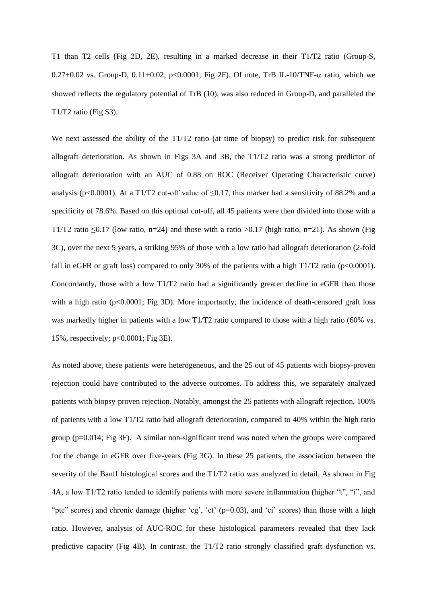T1 than T2 cells (Fig 2D, 2E), resulting in a marked decrease in their T1/T2 ratio (Group-S,  $0.27\pm0.02$  vs. Group-D,  $0.11\pm0.02$ ; p<0.0001; Fig 2F). Of note, TrB IL-10/TNF- $\alpha$  ratio, which we showed reflects the regulatory potential of TrB [\(10\)](#page-15-8), was also reduced in Group-D, and paralleled the T1/T2 ratio (Fig S3).

We next assessed the ability of the T1/T2 ratio (at time of biopsy) to predict risk for subsequent allograft deterioration. As shown in Figs 3A and 3B, the T1/T2 ratio was a strong predictor of allograft deterioration with an AUC of 0.88 on ROC (Receiver Operating Characteristic curve) analysis (p<0.0001). At a T1/T2 cut-off value of  $\leq$ 0.17, this marker had a sensitivity of 88.2% and a specificity of 78.6%. Based on this optimal cut-off, all 45 patients were then divided into those with a T1/T2 ratio  $\leq 0.17$  (low ratio, n=24) and those with a ratio  $> 0.17$  (high ratio, n=21). As shown (Fig. 3C), over the next 5 years, a striking 95% of those with a low ratio had allograft deterioration (2-fold fall in eGFR or graft loss) compared to only 30% of the patients with a high  $T1/T2$  ratio (p<0.0001). Concordantly, those with a low T1/T2 ratio had a significantly greater decline in eGFR than those with a high ratio (p<0.0001; Fig 3D). More importantly, the incidence of death-censored graft loss was markedly higher in patients with a low T1/T2 ratio compared to those with a high ratio (60% vs. 15%, respectively; p<0.0001; Fig 3E).

As noted above, these patients were heterogeneous, and the 25 out of 45 patients with biopsy-proven rejection could have contributed to the adverse outcomes. To address this, we separately analyzed patients with biopsy-proven rejection. Notably, amongst the 25 patients with allograft rejection, 100% of patients with a low T1/T2 ratio had allograft deterioration, compared to 40% within the high ratio group (p=0.014; Fig 3F). A similar non-significant trend was noted when the groups were compared for the change in eGFR over five-years (Fig 3G). In these 25 patients, the association between the severity of the Banff histological scores and the T1/T2 ratio was analyzed in detail. As shown in Fig 4A, a low T1/T2 ratio tended to identify patients with more severe inflammation (higher "t", "i", and "ptc" scores) and chronic damage (higher 'cg', 'ct' (p=0.03), and 'ci' scores) than those with a high ratio. However, analysis of AUC-ROC for these histological parameters revealed that they lack predictive capacity (Fig 4B). In contrast, the T1/T2 ratio strongly classified graft dysfunction vs.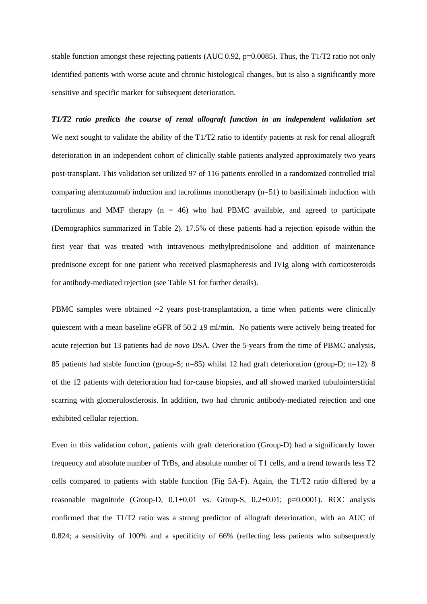stable function amongst these rejecting patients (AUC 0.92,  $p=0.0085$ ). Thus, the T1/T2 ratio not only identified patients with worse acute and chronic histological changes, but is also a significantly more sensitive and specific marker for subsequent deterioration.

*T1/T2 ratio predicts the course of renal allograft function in an independent validation set* We next sought to validate the ability of the T1/T2 ratio to identify patients at risk for renal allograft deterioration in an independent cohort of clinically stable patients analyzed approximately two years post-transplant. This validation set utilized 97 of 116 patients enrolled in a randomized controlled trial comparing alemtuzumab induction and tacrolimus monotherapy (n=51) to basiliximab induction with tacrolimus and MMF therapy  $(n = 46)$  who had PBMC available, and agreed to participate (Demographics summarized in Table 2). 17.5% of these patients had a rejection episode within the first year that was treated with intravenous methylprednisolone and addition of maintenance prednisone except for one patient who received plasmapheresis and IVIg along with corticosteroids for antibody-mediated rejection (see Table S1 for further details).

PBMC samples were obtained  $\sim$ 2 years post-transplantation, a time when patients were clinically quiescent with a mean baseline eGFR of 50.2  $\pm$ 9 ml/min. No patients were actively being treated for acute rejection but 13 patients had *de novo* DSA. Over the 5-years from the time of PBMC analysis, 85 patients had stable function (group-S; n=85) whilst 12 had graft deterioration (group-D; n=12). 8 of the 12 patients with deterioration had for-cause biopsies, and all showed marked tubulointerstitial scarring with glomerulosclerosis. In addition, two had chronic antibody-mediated rejection and one exhibited cellular rejection.

Even in this validation cohort, patients with graft deterioration (Group-D) had a significantly lower frequency and absolute number of TrBs, and absolute number of T1 cells, and a trend towards less T2 cells compared to patients with stable function (Fig 5A-F). Again, the T1/T2 ratio differed by a reasonable magnitude (Group-D,  $0.1\pm0.01$  vs. Group-S,  $0.2\pm0.01$ ; p=0.0001). ROC analysis confirmed that the T1/T2 ratio was a strong predictor of allograft deterioration, with an AUC of 0.824; a sensitivity of 100% and a specificity of 66% (reflecting less patients who subsequently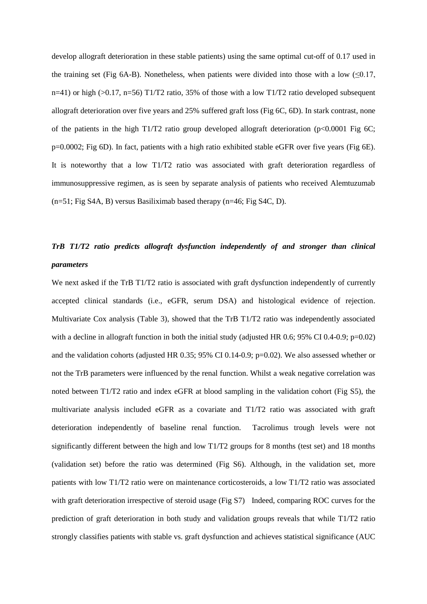develop allograft deterioration in these stable patients) using the same optimal cut-off of 0.17 used in the training set (Fig 6A-B). Nonetheless, when patients were divided into those with a low  $(\leq 0.17,$  $n=41$ ) or high (>0.17,  $n=56$ ) T1/T2 ratio, 35% of those with a low T1/T2 ratio developed subsequent allograft deterioration over five years and 25% suffered graft loss (Fig 6C, 6D). In stark contrast, none of the patients in the high T1/T2 ratio group developed allograft deterioration ( $p<0.0001$  Fig 6C; p=0.0002; Fig 6D). In fact, patients with a high ratio exhibited stable eGFR over five years (Fig 6E). It is noteworthy that a low T1/T2 ratio was associated with graft deterioration regardless of immunosuppressive regimen, as is seen by separate analysis of patients who received Alemtuzumab (n=51; Fig S4A, B) versus Basiliximab based therapy (n=46; Fig S4C, D).

# *TrB T1/T2 ratio predicts allograft dysfunction independently of and stronger than clinical parameters*

We next asked if the TrB T1/T2 ratio is associated with graft dysfunction independently of currently accepted clinical standards (i.e., eGFR, serum DSA) and histological evidence of rejection. Multivariate Cox analysis (Table 3), showed that the TrB T1/T2 ratio was independently associated with a decline in allograft function in both the initial study (adjusted HR 0.6; 95% CI 0.4-0.9; p=0.02) and the validation cohorts (adjusted HR 0.35; 95% CI 0.14-0.9; p=0.02). We also assessed whether or not the TrB parameters were influenced by the renal function. Whilst a weak negative correlation was noted between T1/T2 ratio and index eGFR at blood sampling in the validation cohort (Fig S5), the multivariate analysis included eGFR as a covariate and T1/T2 ratio was associated with graft deterioration independently of baseline renal function. Tacrolimus trough levels were not significantly different between the high and low T1/T2 groups for 8 months (test set) and 18 months (validation set) before the ratio was determined (Fig S6). Although, in the validation set, more patients with low T1/T2 ratio were on maintenance corticosteroids, a low T1/T2 ratio was associated with graft deterioration irrespective of steroid usage (Fig S7) Indeed, comparing ROC curves for the prediction of graft deterioration in both study and validation groups reveals that while T1/T2 ratio strongly classifies patients with stable vs. graft dysfunction and achieves statistical significance (AUC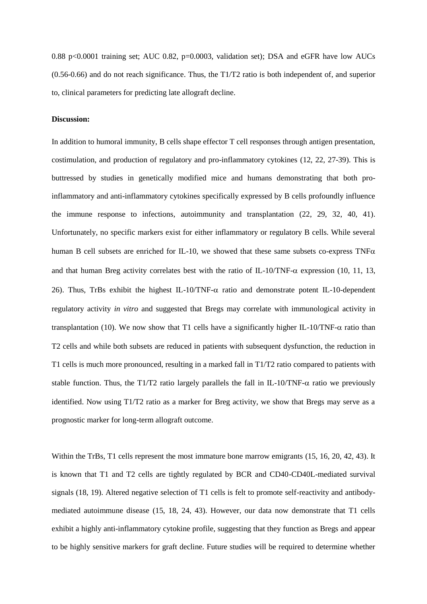0.88 p<0.0001 training set; AUC 0.82, p=0.0003, validation set); DSA and eGFR have low AUCs (0.56-0.66) and do not reach significance. Thus, the T1/T2 ratio is both independent of, and superior to, clinical parameters for predicting late allograft decline.

### **Discussion:**

In addition to humoral immunity, B cells shape effector T cell responses through antigen presentation, costimulation, and production of regulatory and pro-inflammatory cytokines [\(12,](#page-15-10) [22,](#page-16-0) [27-39\)](#page-16-5). This is buttressed by studies in genetically modified mice and humans demonstrating that both proinflammatory and anti-inflammatory cytokines specifically expressed by B cells profoundly influence the immune response to infections, autoimmunity and transplantation [\(22,](#page-16-0) [29,](#page-16-6) [32,](#page-16-7) [40,](#page-16-8) [41\)](#page-16-9). Unfortunately, no specific markers exist for either inflammatory or regulatory B cells. While several human B cell subsets are enriched for IL-10, we showed that these same subsets co-express  $TNF\alpha$ and that human Breg activity correlates best with the ratio of IL-10/TNF- $\alpha$  expression [\(10,](#page-15-8) [11,](#page-15-9) [13,](#page-15-11) [26\)](#page-16-4). Thus, TrBs exhibit the highest IL-10/TNF- $\alpha$  ratio and demonstrate potent IL-10-dependent regulatory activity *in vitro* and suggested that Bregs may correlate with immunological activity in transplantation [\(10\)](#page-15-8). We now show that T1 cells have a significantly higher IL-10/TNF- $\alpha$  ratio than T2 cells and while both subsets are reduced in patients with subsequent dysfunction, the reduction in T1 cells is much more pronounced, resulting in a marked fall in T1/T2 ratio compared to patients with stable function. Thus, the T1/T2 ratio largely parallels the fall in IL-10/TNF- $\alpha$  ratio we previously identified. Now using T1/T2 ratio as a marker for Breg activity, we show that Bregs may serve as a prognostic marker for long-term allograft outcome.

Within the TrBs, T1 cells represent the most immature bone marrow emigrants [\(15,](#page-15-13) [16,](#page-15-14) [20,](#page-15-17) [42,](#page-17-0) [43\)](#page-17-1). It is known that T1 and T2 cells are tightly regulated by BCR and CD40-CD40L-mediated survival signals [\(18,](#page-15-16) [19\)](#page-15-18). Altered negative selection of T1 cells is felt to promote self-reactivity and antibodymediated autoimmune disease [\(15,](#page-15-13) [18,](#page-15-16) [24,](#page-16-2) [43\)](#page-17-1). However, our data now demonstrate that T1 cells exhibit a highly anti-inflammatory cytokine profile, suggesting that they function as Bregs and appear to be highly sensitive markers for graft decline. Future studies will be required to determine whether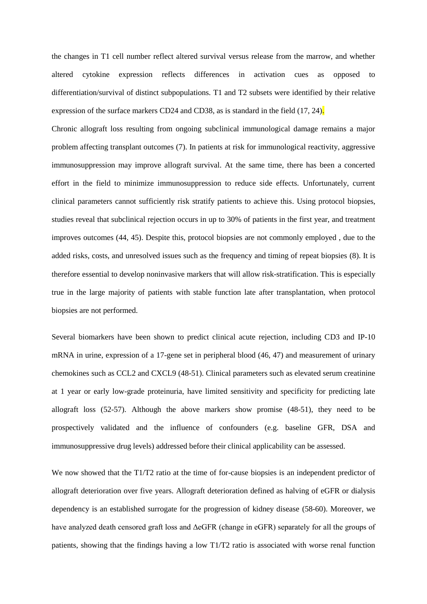the changes in T1 cell number reflect altered survival versus release from the marrow, and whether altered cytokine expression reflects differences in activation cues as opposed to differentiation/survival of distinct subpopulations. T1 and T2 subsets were identified by their relative expression of the surface markers CD24 and CD38, as is standard in the field [\(17,](#page-15-15) [24\)](#page-16-2).

Chronic allograft loss resulting from ongoing subclinical immunological damage remains a major problem affecting transplant outcomes [\(7\)](#page-15-5). In patients at risk for immunological reactivity, aggressive immunosuppression may improve allograft survival. At the same time, there has been a concerted effort in the field to minimize immunosuppression to reduce side effects. Unfortunately, current clinical parameters cannot sufficiently risk stratify patients to achieve this. Using protocol biopsies, studies reveal that subclinical rejection occurs in up to 30% of patients in the first year, and treatment improves outcomes [\(44,](#page-17-2) [45\)](#page-17-3). Despite this, protocol biopsies are not commonly employed , due to the added risks, costs, and unresolved issues such as the frequency and timing of repeat biopsies [\(8\)](#page-15-6). It is therefore essential to develop noninvasive markers that will allow risk-stratification. This is especially true in the large majority of patients with stable function late after transplantation, when protocol biopsies are not performed.

Several biomarkers have been shown to predict clinical acute rejection, including CD3 and IP-10 mRNA in urine, expression of a 17-gene set in peripheral blood [\(46,](#page-17-4) [47\)](#page-17-5) and measurement of urinary chemokines such as CCL2 and CXCL9 [\(48-51\)](#page-17-6). Clinical parameters such as elevated serum creatinine at 1 year or early low-grade proteinuria, have limited sensitivity and specificity for predicting late allograft loss [\(52-57\)](#page-17-7). Although the above markers show promise [\(48-51\)](#page-17-6), they need to be prospectively validated and the influence of confounders (e.g. baseline GFR, DSA and immunosuppressive drug levels) addressed before their clinical applicability can be assessed.

We now showed that the T1/T2 ratio at the time of for-cause biopsies is an independent predictor of allograft deterioration over five years. Allograft deterioration defined as halving of eGFR or dialysis dependency is an established surrogate for the progression of kidney disease [\(58-60\)](#page-17-8). Moreover, we have analyzed death censored graft loss and ΔeGFR (change in eGFR) separately for all the groups of patients, showing that the findings having a low T1/T2 ratio is associated with worse renal function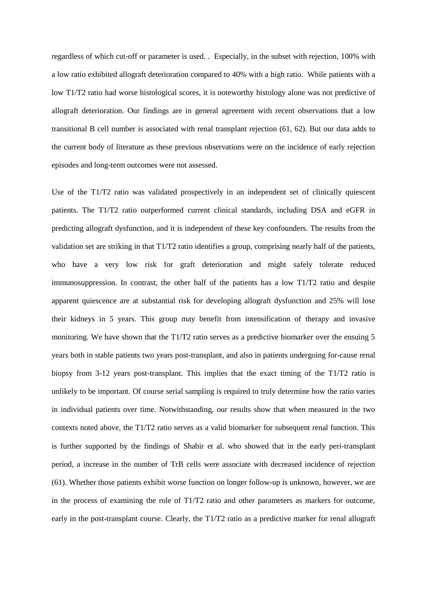regardless of which cut-off or parameter is used. . Especially, in the subset with rejection, 100% with a low ratio exhibited allograft deterioration compared to 40% with a high ratio. While patients with a low T1/T2 ratio had worse histological scores, it is noteworthy histology alone was not predictive of allograft deterioration. Our findings are in general agreement with recent observations that a low transitional B cell number is associated with renal transplant rejection [\(61,](#page-18-0) [62\)](#page-18-1). But our data adds to the current body of literature as these previous observations were on the incidence of early rejection episodes and long-term outcomes were not assessed.

Use of the T1/T2 ratio was validated prospectively in an independent set of clinically quiescent patients. The T1/T2 ratio outperformed current clinical standards, including DSA and eGFR in predicting allograft dysfunction, and it is independent of these key confounders. The results from the validation set are striking in that T1/T2 ratio identifies a group, comprising nearly half of the patients, who have a very low risk for graft deterioration and might safely tolerate reduced immunosuppression. In contrast, the other half of the patients has a low T1/T2 ratio and despite apparent quiescence are at substantial risk for developing allograft dysfunction and 25% will lose their kidneys in 5 years. This group may benefit from intensification of therapy and invasive monitoring. We have shown that the T1/T2 ratio serves as a predictive biomarker over the ensuing 5 years both in stable patients two years post-transplant, and also in patients undergoing for-cause renal biopsy from 3-12 years post-transplant. This implies that the exact timing of the T1/T2 ratio is unlikely to be important. Of course serial sampling is required to truly determine how the ratio varies in individual patients over time. Notwithstanding, our results show that when measured in the two contexts noted above, the T1/T2 ratio serves as a valid biomarker for subsequent renal function. This is further supported by the findings of Shabir et al. who showed that in the early peri-transplant period, a increase in the number of TrB cells were associate with decreased incidence of rejection [\(61\)](#page-18-0). Whether those patients exhibit worse function on longer follow-up is unknown, however, we are in the process of examining the role of T1/T2 ratio and other parameters as markers for outcome, early in the post-transplant course. Clearly, the T1/T2 ratio as a predictive marker for renal allograft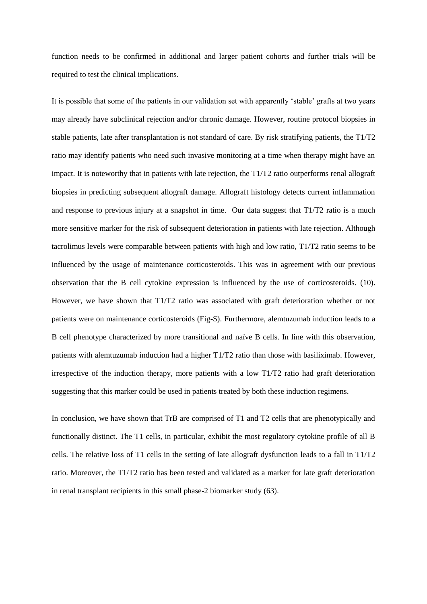function needs to be confirmed in additional and larger patient cohorts and further trials will be required to test the clinical implications.

It is possible that some of the patients in our validation set with apparently 'stable' grafts at two years may already have subclinical rejection and/or chronic damage. However, routine protocol biopsies in stable patients, late after transplantation is not standard of care. By risk stratifying patients, the T1/T2 ratio may identify patients who need such invasive monitoring at a time when therapy might have an impact. It is noteworthy that in patients with late rejection, the T1/T2 ratio outperforms renal allograft biopsies in predicting subsequent allograft damage. Allograft histology detects current inflammation and response to previous injury at a snapshot in time. Our data suggest that T1/T2 ratio is a much more sensitive marker for the risk of subsequent deterioration in patients with late rejection. Although tacrolimus levels were comparable between patients with high and low ratio, T1/T2 ratio seems to be influenced by the usage of maintenance corticosteroids. This was in agreement with our previous observation that the B cell cytokine expression is influenced by the use of corticosteroids. [\(10\)](#page-15-8). However, we have shown that T1/T2 ratio was associated with graft deterioration whether or not patients were on maintenance corticosteroids (Fig-S). Furthermore, alemtuzumab induction leads to a B cell phenotype characterized by more transitional and naïve B cells. In line with this observation, patients with alemtuzumab induction had a higher T1/T2 ratio than those with basiliximab. However, irrespective of the induction therapy, more patients with a low T1/T2 ratio had graft deterioration suggesting that this marker could be used in patients treated by both these induction regimens.

In conclusion, we have shown that TrB are comprised of T1 and T2 cells that are phenotypically and functionally distinct. The T1 cells, in particular, exhibit the most regulatory cytokine profile of all B cells. The relative loss of T1 cells in the setting of late allograft dysfunction leads to a fall in T1/T2 ratio. Moreover, the T1/T2 ratio has been tested and validated as a marker for late graft deterioration in renal transplant recipients in this small phase-2 biomarker study [\(63\)](#page-18-2).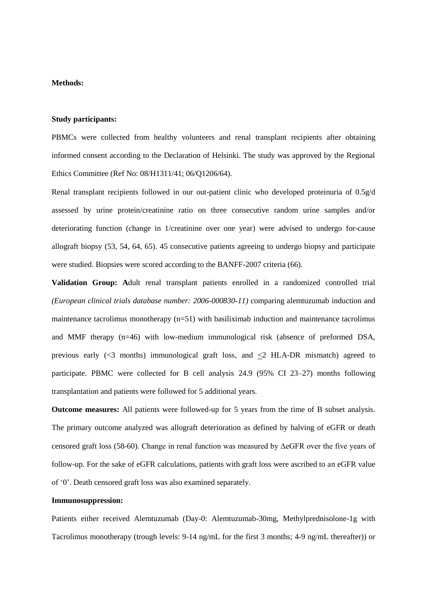# **Methods:**

#### **Study participants:**

PBMCs were collected from healthy volunteers and renal transplant recipients after obtaining informed consent according to the Declaration of Helsinki. The study was approved by the Regional Ethics Committee (Ref No: 08/H1311/41; 06/Q1206/64).

Renal transplant recipients followed in our out-patient clinic who developed proteinuria of 0.5g/d assessed by urine protein/creatinine ratio on three consecutive random urine samples and/or deteriorating function (change in 1/creatinine over one year) were advised to undergo for-cause allograft biopsy [\(53,](#page-17-9) [54,](#page-17-10) [64,](#page-18-3) [65\)](#page-18-4). 45 consecutive patients agreeing to undergo biopsy and participate were studied. Biopsies were scored according to the BANFF-2007 criteria [\(66\)](#page-18-5).

**Validation Group: A**dult renal transplant patients enrolled in a randomized controlled trial *(European clinical trials database number: 2006-000830-11)* comparing alemtuzumab induction and maintenance tacrolimus monotherapy (n=51) with basiliximab induction and maintenance tacrolimus and MMF therapy (n=46) with low-medium immunological risk (absence of preformed DSA, previous early  $\ll$ 3 months) immunological graft loss, and  $\leq$ 2 HLA-DR mismatch) agreed to participate. PBMC were collected for B cell analysis 24.9 (95% CI 23–27) months following transplantation and patients were followed for 5 additional years.

**Outcome measures:** All patients were followed-up for 5 years from the time of B subset analysis. The primary outcome analyzed was allograft deterioration as defined by halving of eGFR or death censored graft loss [\(58-60\)](#page-17-8). Change in renal function was measured by ΔeGFR over the five years of follow-up. For the sake of eGFR calculations, patients with graft loss were ascribed to an eGFR value of '0'. Death censored graft loss was also examined separately.

### **Immunosuppression:**

Patients either received Alemtuzumab (Day-0: Alemtuzumab-30mg, Methylprednisolone-1g with Tacrolimus monotherapy (trough levels: 9-14 ng/mL for the first 3 months; 4-9 ng/mL thereafter)) or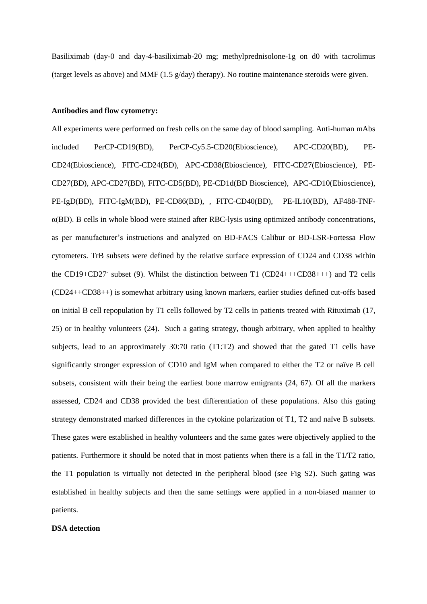Basiliximab (day-0 and day-4-basiliximab-20 mg; methylprednisolone-1g on d0 with tacrolimus (target levels as above) and MMF (1.5 g/day) therapy). No routine maintenance steroids were given.

#### **Antibodies and flow cytometry:**

All experiments were performed on fresh cells on the same day of blood sampling. Anti-human mAbs included PerCP-CD19(BD), PerCP-Cy5.5-CD20(Ebioscience), APC-CD20(BD), PE-CD24(Ebioscience), FITC-CD24(BD), APC-CD38(Ebioscience), FITC-CD27(Ebioscience), PE-CD27(BD), APC-CD27(BD), FITC-CD5(BD), PE-CD1d(BD Bioscience), APC-CD10(Ebioscience), PE-IgD(BD), FITC-IgM(BD), PE-CD86(BD), , FITC-CD40(BD), PE-IL10(BD), AF488-TNFα(BD). B cells in whole blood were stained after RBC-lysis using optimized antibody concentrations, as per manufacturer's instructions and analyzed on BD-FACS Calibur or BD-LSR-Fortessa Flow cytometers. TrB subsets were defined by the relative surface expression of CD24 and CD38 within the CD19+CD27- subset [\(9\)](#page-15-7). Whilst the distinction between T1 (CD24+++CD38+++) and T2 cells (CD24++CD38++) is somewhat arbitrary using known markers, earlier studies defined cut-offs based on initial B cell repopulation by T1 cells followed by T2 cells in patients treated with Rituximab [\(17,](#page-15-15) [25\)](#page-16-3) or in healthy volunteers [\(24\)](#page-16-2). Such a gating strategy, though arbitrary, when applied to healthy subjects, lead to an approximately 30:70 ratio (T1:T2) and showed that the gated T1 cells have significantly stronger expression of CD10 and IgM when compared to either the T2 or naïve B cell subsets, consistent with their being the earliest bone marrow emigrants [\(24,](#page-16-2) [67\)](#page-18-6). Of all the markers assessed, CD24 and CD38 provided the best differentiation of these populations. Also this gating strategy demonstrated marked differences in the cytokine polarization of T1, T2 and naïve B subsets. These gates were established in healthy volunteers and the same gates were objectively applied to the patients. Furthermore it should be noted that in most patients when there is a fall in the T1/T2 ratio, the T1 population is virtually not detected in the peripheral blood (see Fig S2). Such gating was established in healthy subjects and then the same settings were applied in a non-biased manner to patients.

### **DSA detection**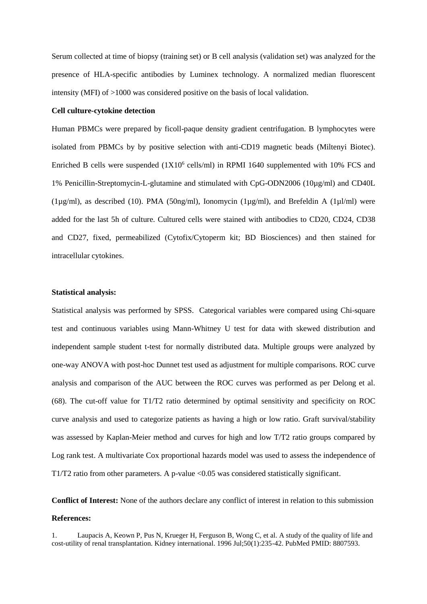Serum collected at time of biopsy (training set) or B cell analysis (validation set) was analyzed for the presence of HLA-specific antibodies by Luminex technology. A normalized median fluorescent intensity (MFI) of >1000 was considered positive on the basis of local validation.

#### **Cell culture-cytokine detection**

Human PBMCs were prepared by ficoll-paque density gradient centrifugation. B lymphocytes were isolated from PBMCs by by positive selection with anti-CD19 magnetic beads (Miltenyi Biotec). Enriched B cells were suspended  $(1X10<sup>6</sup>$  cells/ml) in RPMI 1640 supplemented with 10% FCS and 1% Penicillin-Streptomycin-L-glutamine and stimulated with CpG-ODN2006 (10µg/ml) and CD40L ( $1\mu$ g/ml), as described (10). PMA (50ng/ml), Ionomycin ( $1\mu$ g/ml), and Brefeldin A ( $1\mu$ l/ml) were added for the last 5h of culture. Cultured cells were stained with antibodies to CD20, CD24, CD38 and CD27, fixed, permeabilized (Cytofix/Cytoperm kit; BD Biosciences) and then stained for intracellular cytokines.

### **Statistical analysis:**

Statistical analysis was performed by SPSS. Categorical variables were compared using Chi-square test and continuous variables using Mann-Whitney U test for data with skewed distribution and independent sample student t-test for normally distributed data. Multiple groups were analyzed by one-way ANOVA with post-hoc Dunnet test used as adjustment for multiple comparisons. ROC curve analysis and comparison of the AUC between the ROC curves was performed as per Delong et al. [\(68\)](#page-18-7). The cut-off value for T1/T2 ratio determined by optimal sensitivity and specificity on ROC curve analysis and used to categorize patients as having a high or low ratio. Graft survival/stability was assessed by Kaplan-Meier method and curves for high and low T/T2 ratio groups compared by Log rank test. A multivariate Cox proportional hazards model was used to assess the independence of T1/T2 ratio from other parameters. A p-value <0.05 was considered statistically significant.

**Conflict of Interest:** None of the authors declare any conflict of interest in relation to this submission **References:**

<span id="page-14-0"></span>1. Laupacis A, Keown P, Pus N, Krueger H, Ferguson B, Wong C, et al. A study of the quality of life and cost-utility of renal transplantation. Kidney international. 1996 Jul;50(1):235-42. PubMed PMID: 8807593.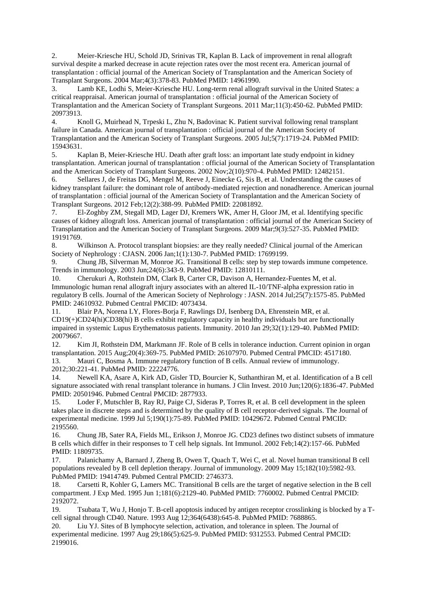<span id="page-15-0"></span>2. Meier-Kriesche HU, Schold JD, Srinivas TR, Kaplan B. Lack of improvement in renal allograft survival despite a marked decrease in acute rejection rates over the most recent era. American journal of transplantation : official journal of the American Society of Transplantation and the American Society of Transplant Surgeons. 2004 Mar;4(3):378-83. PubMed PMID: 14961990.

<span id="page-15-1"></span>Lamb KE, Lodhi S, Meier-Kriesche HU. Long-term renal allograft survival in the United States: a critical reappraisal. American journal of transplantation : official journal of the American Society of Transplantation and the American Society of Transplant Surgeons. 2011 Mar;11(3):450-62. PubMed PMID: 20973913.

<span id="page-15-2"></span>4. Knoll G, Muirhead N, Trpeski L, Zhu N, Badovinac K. Patient survival following renal transplant failure in Canada. American journal of transplantation : official journal of the American Society of Transplantation and the American Society of Transplant Surgeons. 2005 Jul;5(7):1719-24. PubMed PMID: 15943631.

<span id="page-15-3"></span>5. Kaplan B, Meier-Kriesche HU. Death after graft loss: an important late study endpoint in kidney transplantation. American journal of transplantation : official journal of the American Society of Transplantation and the American Society of Transplant Surgeons. 2002 Nov;2(10):970-4. PubMed PMID: 12482151.

<span id="page-15-4"></span>6. Sellares J, de Freitas DG, Mengel M, Reeve J, Einecke G, Sis B, et al. Understanding the causes of kidney transplant failure: the dominant role of antibody-mediated rejection and nonadherence. American journal of transplantation : official journal of the American Society of Transplantation and the American Society of Transplant Surgeons. 2012 Feb;12(2):388-99. PubMed PMID: 22081892.

<span id="page-15-5"></span>7. El-Zoghby ZM, Stegall MD, Lager DJ, Kremers WK, Amer H, Gloor JM, et al. Identifying specific causes of kidney allograft loss. American journal of transplantation : official journal of the American Society of Transplantation and the American Society of Transplant Surgeons. 2009 Mar;9(3):527-35. PubMed PMID: 19191769.

<span id="page-15-6"></span>8. Wilkinson A. Protocol transplant biopsies: are they really needed? Clinical journal of the American Society of Nephrology : CJASN. 2006 Jan;1(1):130-7. PubMed PMID: 17699199.

<span id="page-15-7"></span>9. Chung JB, Silverman M, Monroe JG. Transitional B cells: step by step towards immune competence. Trends in immunology. 2003 Jun;24(6):343-9. PubMed PMID: 12810111.

<span id="page-15-8"></span>10. Cherukuri A, Rothstein DM, Clark B, Carter CR, Davison A, Hernandez-Fuentes M, et al. Immunologic human renal allograft injury associates with an altered IL-10/TNF-alpha expression ratio in regulatory B cells. Journal of the American Society of Nephrology : JASN. 2014 Jul;25(7):1575-85. PubMed PMID: 24610932. Pubmed Central PMCID: 4073434.

<span id="page-15-9"></span>11. Blair PA, Norena LY, Flores-Borja F, Rawlings DJ, Isenberg DA, Ehrenstein MR, et al. CD19(+)CD24(hi)CD38(hi) B cells exhibit regulatory capacity in healthy individuals but are functionally impaired in systemic Lupus Erythematosus patients. Immunity. 2010 Jan 29;32(1):129-40. PubMed PMID: 20079667.

<span id="page-15-10"></span>12. Kim JI, Rothstein DM, Markmann JF. Role of B cells in tolerance induction. Current opinion in organ transplantation. 2015 Aug;20(4):369-75. PubMed PMID: 26107970. Pubmed Central PMCID: 4517180. 13. Mauri C, Bosma A. Immune regulatory function of B cells. Annual review of immunology.

<span id="page-15-11"></span>2012;30:221-41. PubMed PMID: 22224776.

<span id="page-15-12"></span>14. Newell KA, Asare A, Kirk AD, Gisler TD, Bourcier K, Suthanthiran M, et al. Identification of a B cell signature associated with renal transplant tolerance in humans. J Clin Invest. 2010 Jun;120(6):1836-47. PubMed PMID: 20501946. Pubmed Central PMCID: 2877933.

<span id="page-15-13"></span>15. Loder F, Mutschler B, Ray RJ, Paige CJ, Sideras P, Torres R, et al. B cell development in the spleen takes place in discrete steps and is determined by the quality of B cell receptor-derived signals. The Journal of experimental medicine. 1999 Jul 5;190(1):75-89. PubMed PMID: 10429672. Pubmed Central PMCID: 2195560.

<span id="page-15-14"></span>16. Chung JB, Sater RA, Fields ML, Erikson J, Monroe JG. CD23 defines two distinct subsets of immature B cells which differ in their responses to T cell help signals. Int Immunol. 2002 Feb;14(2):157-66. PubMed PMID: 11809735.

<span id="page-15-15"></span>17. Palanichamy A, Barnard J, Zheng B, Owen T, Quach T, Wei C, et al. Novel human transitional B cell populations revealed by B cell depletion therapy. Journal of immunology. 2009 May 15;182(10):5982-93. PubMed PMID: 19414749. Pubmed Central PMCID: 2746373.

<span id="page-15-16"></span>18. Carsetti R, Kohler G, Lamers MC. Transitional B cells are the target of negative selection in the B cell compartment. J Exp Med. 1995 Jun 1;181(6):2129-40. PubMed PMID: 7760002. Pubmed Central PMCID: 2192072.

<span id="page-15-18"></span>19. Tsubata T, Wu J, Honjo T. B-cell apoptosis induced by antigen receptor crosslinking is blocked by a Tcell signal through CD40. Nature. 1993 Aug 12;364(6438):645-8. PubMed PMID: 7688865.

<span id="page-15-17"></span>20. Liu YJ. Sites of B lymphocyte selection, activation, and tolerance in spleen. The Journal of experimental medicine. 1997 Aug 29;186(5):625-9. PubMed PMID: 9312553. Pubmed Central PMCID: 2199016.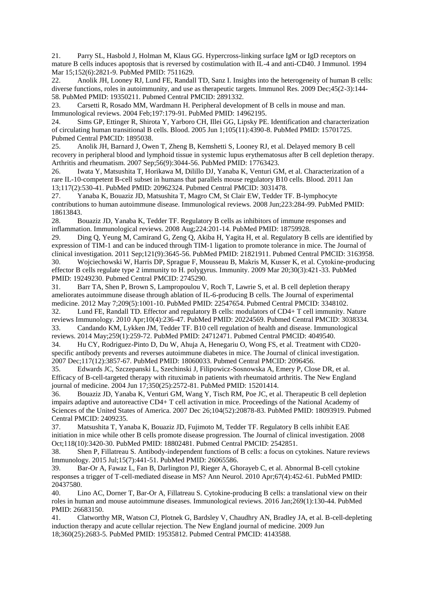21. Parry SL, Hasbold J, Holman M, Klaus GG. Hypercross-linking surface IgM or IgD receptors on mature B cells induces apoptosis that is reversed by costimulation with IL-4 and anti-CD40. J Immunol. 1994 Mar 15;152(6):2821-9. PubMed PMID: 7511629.

<span id="page-16-0"></span>22. Anolik JH, Looney RJ, Lund FE, Randall TD, Sanz I. Insights into the heterogeneity of human B cells: diverse functions, roles in autoimmunity, and use as therapeutic targets. Immunol Res. 2009 Dec;45(2-3):144-58. PubMed PMID: 19350211. Pubmed Central PMCID: 2891332.

<span id="page-16-1"></span>23. Carsetti R, Rosado MM, Wardmann H. Peripheral development of B cells in mouse and man. Immunological reviews. 2004 Feb;197:179-91. PubMed PMID: 14962195.

<span id="page-16-2"></span>24. Sims GP, Ettinger R, Shirota Y, Yarboro CH, Illei GG, Lipsky PE. Identification and characterization of circulating human transitional B cells. Blood. 2005 Jun 1;105(11):4390-8. PubMed PMID: 15701725. Pubmed Central PMCID: 1895038.

<span id="page-16-3"></span>25. Anolik JH, Barnard J, Owen T, Zheng B, Kemshetti S, Looney RJ, et al. Delayed memory B cell recovery in peripheral blood and lymphoid tissue in systemic lupus erythematosus after B cell depletion therapy. Arthritis and rheumatism. 2007 Sep;56(9):3044-56. PubMed PMID: 17763423.

<span id="page-16-4"></span>26. Iwata Y, Matsushita T, Horikawa M, Dilillo DJ, Yanaba K, Venturi GM, et al. Characterization of a rare IL-10-competent B-cell subset in humans that parallels mouse regulatory B10 cells. Blood. 2011 Jan 13;117(2):530-41. PubMed PMID: 20962324. Pubmed Central PMCID: 3031478.

<span id="page-16-5"></span>27. Yanaba K, Bouaziz JD, Matsushita T, Magro CM, St Clair EW, Tedder TF. B-lymphocyte contributions to human autoimmune disease. Immunological reviews. 2008 Jun;223:284-99. PubMed PMID: 18613843.

28. Bouaziz JD, Yanaba K, Tedder TF. Regulatory B cells as inhibitors of immune responses and inflammation. Immunological reviews. 2008 Aug;224:201-14. PubMed PMID: 18759928.

<span id="page-16-6"></span>29. Ding Q, Yeung M, Camirand G, Zeng Q, Akiba H, Yagita H, et al. Regulatory B cells are identified by expression of TIM-1 and can be induced through TIM-1 ligation to promote tolerance in mice. The Journal of clinical investigation. 2011 Sep;121(9):3645-56. PubMed PMID: 21821911. Pubmed Central PMCID: 3163958.

30. Wojciechowski W, Harris DP, Sprague F, Mousseau B, Makris M, Kusser K, et al. Cytokine-producing effector B cells regulate type 2 immunity to H. polygyrus. Immunity. 2009 Mar 20;30(3):421-33. PubMed PMID: 19249230. Pubmed Central PMCID: 2745290.

31. Barr TA, Shen P, Brown S, Lampropoulou V, Roch T, Lawrie S, et al. B cell depletion therapy ameliorates autoimmune disease through ablation of IL-6-producing B cells. The Journal of experimental medicine. 2012 May 7;209(5):1001-10. PubMed PMID: 22547654. Pubmed Central PMCID: 3348102.

<span id="page-16-7"></span>32. Lund FE, Randall TD. Effector and regulatory B cells: modulators of CD4+ T cell immunity. Nature reviews Immunology. 2010 Apr;10(4):236-47. PubMed PMID: 20224569. Pubmed Central PMCID: 3038334. 33. Candando KM, Lykken JM, Tedder TF. B10 cell regulation of health and disease. Immunological reviews. 2014 May;259(1):259-72. PubMed PMID: 24712471. Pubmed Central PMCID: 4049540.

34. Hu CY, Rodriguez-Pinto D, Du W, Ahuja A, Henegariu O, Wong FS, et al. Treatment with CD20 specific antibody prevents and reverses autoimmune diabetes in mice. The Journal of clinical investigation. 2007 Dec;117(12):3857-67. PubMed PMID: 18060033. Pubmed Central PMCID: 2096456.

35. Edwards JC, Szczepanski L, Szechinski J, Filipowicz-Sosnowska A, Emery P, Close DR, et al. Efficacy of B-cell-targeted therapy with rituximab in patients with rheumatoid arthritis. The New England journal of medicine. 2004 Jun 17;350(25):2572-81. PubMed PMID: 15201414.

36. Bouaziz JD, Yanaba K, Venturi GM, Wang Y, Tisch RM, Poe JC, et al. Therapeutic B cell depletion impairs adaptive and autoreactive CD4+ T cell activation in mice. Proceedings of the National Academy of Sciences of the United States of America. 2007 Dec 26;104(52):20878-83. PubMed PMID: 18093919. Pubmed Central PMCID: 2409235.

37. Matsushita T, Yanaba K, Bouaziz JD, Fujimoto M, Tedder TF. Regulatory B cells inhibit EAE initiation in mice while other B cells promote disease progression. The Journal of clinical investigation. 2008 Oct;118(10):3420-30. PubMed PMID: 18802481. Pubmed Central PMCID: 2542851.

38. Shen P, Fillatreau S. Antibody-independent functions of B cells: a focus on cytokines. Nature reviews Immunology. 2015 Jul;15(7):441-51. PubMed PMID: 26065586.

39. Bar-Or A, Fawaz L, Fan B, Darlington PJ, Rieger A, Ghorayeb C, et al. Abnormal B-cell cytokine responses a trigger of T-cell-mediated disease in MS? Ann Neurol. 2010 Apr;67(4):452-61. PubMed PMID: 20437580.

<span id="page-16-8"></span>40. Lino AC, Dorner T, Bar-Or A, Fillatreau S. Cytokine-producing B cells: a translational view on their roles in human and mouse autoimmune diseases. Immunological reviews. 2016 Jan;269(1):130-44. PubMed PMID: 26683150.

<span id="page-16-9"></span>41. Clatworthy MR, Watson CJ, Plotnek G, Bardsley V, Chaudhry AN, Bradley JA, et al. B-cell-depleting induction therapy and acute cellular rejection. The New England journal of medicine. 2009 Jun 18;360(25):2683-5. PubMed PMID: 19535812. Pubmed Central PMCID: 4143588.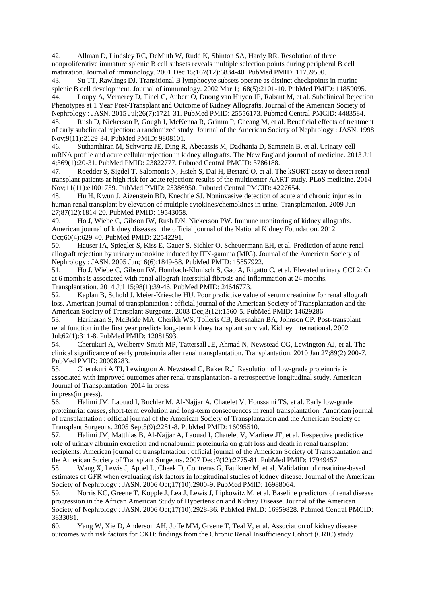<span id="page-17-0"></span>42. Allman D, Lindsley RC, DeMuth W, Rudd K, Shinton SA, Hardy RR. Resolution of three nonproliferative immature splenic B cell subsets reveals multiple selection points during peripheral B cell maturation. Journal of immunology. 2001 Dec 15;167(12):6834-40. PubMed PMID: 11739500.

<span id="page-17-1"></span>43. Su TT, Rawlings DJ. Transitional B lymphocyte subsets operate as distinct checkpoints in murine splenic B cell development. Journal of immunology. 2002 Mar 1;168(5):2101-10. PubMed PMID: 11859095. 44. Loupy A, Vernerey D, Tinel C, Aubert O, Duong van Huyen JP, Rabant M, et al. Subclinical Rejection

<span id="page-17-2"></span>Phenotypes at 1 Year Post-Transplant and Outcome of Kidney Allografts. Journal of the American Society of Nephrology : JASN. 2015 Jul;26(7):1721-31. PubMed PMID: 25556173. Pubmed Central PMCID: 4483584.

<span id="page-17-3"></span>45. Rush D, Nickerson P, Gough J, McKenna R, Grimm P, Cheang M, et al. Beneficial effects of treatment of early subclinical rejection: a randomized study. Journal of the American Society of Nephrology : JASN. 1998 Nov;9(11):2129-34. PubMed PMID: 9808101.

<span id="page-17-4"></span>46. Suthanthiran M, Schwartz JE, Ding R, Abecassis M, Dadhania D, Samstein B, et al. Urinary-cell mRNA profile and acute cellular rejection in kidney allografts. The New England journal of medicine. 2013 Jul 4;369(1):20-31. PubMed PMID: 23822777. Pubmed Central PMCID: 3786188.

<span id="page-17-5"></span>47. Roedder S, Sigdel T, Salomonis N, Hsieh S, Dai H, Bestard O, et al. The kSORT assay to detect renal transplant patients at high risk for acute rejection: results of the multicenter AART study. PLoS medicine. 2014 Nov;11(11):e1001759. PubMed PMID: 25386950. Pubmed Central PMCID: 4227654.

<span id="page-17-6"></span>48. Hu H, Kwun J, Aizenstein BD, Knechtle SJ. Noninvasive detection of acute and chronic injuries in human renal transplant by elevation of multiple cytokines/chemokines in urine. Transplantation. 2009 Jun 27;87(12):1814-20. PubMed PMID: 19543058.

49. Ho J, Wiebe C, Gibson IW, Rush DN, Nickerson PW. Immune monitoring of kidney allografts. American journal of kidney diseases : the official journal of the National Kidney Foundation. 2012 Oct;60(4):629-40. PubMed PMID: 22542291.

50. Hauser IA, Spiegler S, Kiss E, Gauer S, Sichler O, Scheuermann EH, et al. Prediction of acute renal allograft rejection by urinary monokine induced by IFN-gamma (MIG). Journal of the American Society of Nephrology : JASN. 2005 Jun;16(6):1849-58. PubMed PMID: 15857922.

51. Ho J, Wiebe C, Gibson IW, Hombach-Klonisch S, Gao A, Rigatto C, et al. Elevated urinary CCL2: Cr at 6 months is associated with renal allograft interstitial fibrosis and inflammation at 24 months. Transplantation. 2014 Jul 15;98(1):39-46. PubMed PMID: 24646773.

<span id="page-17-7"></span>52. Kaplan B, Schold J, Meier-Kriesche HU. Poor predictive value of serum creatinine for renal allograft loss. American journal of transplantation : official journal of the American Society of Transplantation and the American Society of Transplant Surgeons. 2003 Dec;3(12):1560-5. PubMed PMID: 14629286.

<span id="page-17-9"></span>53. Hariharan S, McBride MA, Cherikh WS, Tolleris CB, Bresnahan BA, Johnson CP. Post-transplant renal function in the first year predicts long-term kidney transplant survival. Kidney international. 2002 Jul;62(1):311-8. PubMed PMID: 12081593.

<span id="page-17-10"></span>54. Cherukuri A, Welberry-Smith MP, Tattersall JE, Ahmad N, Newstead CG, Lewington AJ, et al. The clinical significance of early proteinuria after renal transplantation. Transplantation. 2010 Jan 27;89(2):200-7. PubMed PMID: 20098283.

55. Cherukuri A TJ, Lewington A, Newstead C, Baker R.J. Resolution of low-grade proteinuria is associated with improved outcomes after renal transplantation- a retrospective longitudinal study. American Journal of Transplantation. 2014 in press

in press(in press).

56. Halimi JM, Laouad I, Buchler M, Al-Najjar A, Chatelet V, Houssaini TS, et al. Early low-grade proteinuria: causes, short-term evolution and long-term consequences in renal transplantation. American journal of transplantation : official journal of the American Society of Transplantation and the American Society of Transplant Surgeons. 2005 Sep;5(9):2281-8. PubMed PMID: 16095510.

57. Halimi JM, Matthias B, Al-Najjar A, Laouad I, Chatelet V, Marliere JF, et al. Respective predictive role of urinary albumin excretion and nonalbumin proteinuria on graft loss and death in renal transplant recipients. American journal of transplantation : official journal of the American Society of Transplantation and the American Society of Transplant Surgeons. 2007 Dec;7(12):2775-81. PubMed PMID: 17949457.

<span id="page-17-8"></span>58. Wang X, Lewis J, Appel L, Cheek D, Contreras G, Faulkner M, et al. Validation of creatinine-based estimates of GFR when evaluating risk factors in longitudinal studies of kidney disease. Journal of the American Society of Nephrology : JASN. 2006 Oct;17(10):2900-9. PubMed PMID: 16988064.

59. Norris KC, Greene T, Kopple J, Lea J, Lewis J, Lipkowitz M, et al. Baseline predictors of renal disease progression in the African American Study of Hypertension and Kidney Disease. Journal of the American Society of Nephrology : JASN. 2006 Oct;17(10):2928-36. PubMed PMID: 16959828. Pubmed Central PMCID: 3833081.

60. Yang W, Xie D, Anderson AH, Joffe MM, Greene T, Teal V, et al. Association of kidney disease outcomes with risk factors for CKD: findings from the Chronic Renal Insufficiency Cohort (CRIC) study.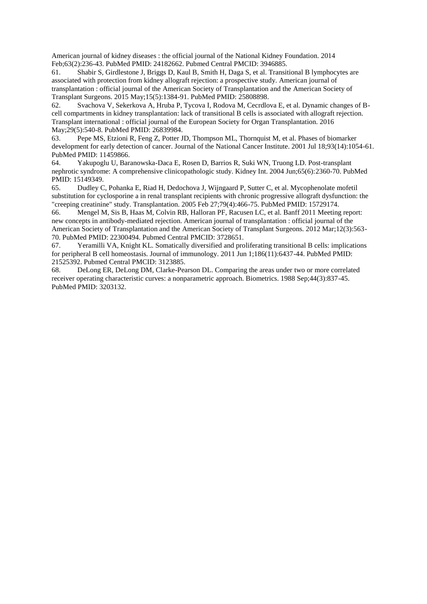American journal of kidney diseases : the official journal of the National Kidney Foundation. 2014 Feb;63(2):236-43. PubMed PMID: 24182662. Pubmed Central PMCID: 3946885.

<span id="page-18-0"></span>61. Shabir S, Girdlestone J, Briggs D, Kaul B, Smith H, Daga S, et al. Transitional B lymphocytes are associated with protection from kidney allograft rejection: a prospective study. American journal of transplantation : official journal of the American Society of Transplantation and the American Society of Transplant Surgeons. 2015 May;15(5):1384-91. PubMed PMID: 25808898.

<span id="page-18-1"></span>62. Svachova V, Sekerkova A, Hruba P, Tycova I, Rodova M, Cecrdlova E, et al. Dynamic changes of Bcell compartments in kidney transplantation: lack of transitional B cells is associated with allograft rejection. Transplant international : official journal of the European Society for Organ Transplantation. 2016 May;29(5):540-8. PubMed PMID: 26839984.

<span id="page-18-2"></span>63. Pepe MS, Etzioni R, Feng Z, Potter JD, Thompson ML, Thornquist M, et al. Phases of biomarker development for early detection of cancer. Journal of the National Cancer Institute. 2001 Jul 18;93(14):1054-61. PubMed PMID: 11459866.

<span id="page-18-3"></span>64. Yakupoglu U, Baranowska-Daca E, Rosen D, Barrios R, Suki WN, Truong LD. Post-transplant nephrotic syndrome: A comprehensive clinicopathologic study. Kidney Int. 2004 Jun;65(6):2360-70. PubMed PMID: 15149349.

<span id="page-18-4"></span>65. Dudley C, Pohanka E, Riad H, Dedochova J, Wijngaard P, Sutter C, et al. Mycophenolate mofetil substitution for cyclosporine a in renal transplant recipients with chronic progressive allograft dysfunction: the "creeping creatinine" study. Transplantation. 2005 Feb 27;79(4):466-75. PubMed PMID: 15729174.

<span id="page-18-5"></span>66. Mengel M, Sis B, Haas M, Colvin RB, Halloran PF, Racusen LC, et al. Banff 2011 Meeting report: new concepts in antibody-mediated rejection. American journal of transplantation : official journal of the American Society of Transplantation and the American Society of Transplant Surgeons. 2012 Mar;12(3):563- 70. PubMed PMID: 22300494. Pubmed Central PMCID: 3728651.

<span id="page-18-6"></span>67. Yeramilli VA, Knight KL. Somatically diversified and proliferating transitional B cells: implications for peripheral B cell homeostasis. Journal of immunology. 2011 Jun 1;186(11):6437-44. PubMed PMID: 21525392. Pubmed Central PMCID: 3123885.

<span id="page-18-7"></span>68. DeLong ER, DeLong DM, Clarke-Pearson DL. Comparing the areas under two or more correlated receiver operating characteristic curves: a nonparametric approach. Biometrics. 1988 Sep;44(3):837-45. PubMed PMID: 3203132.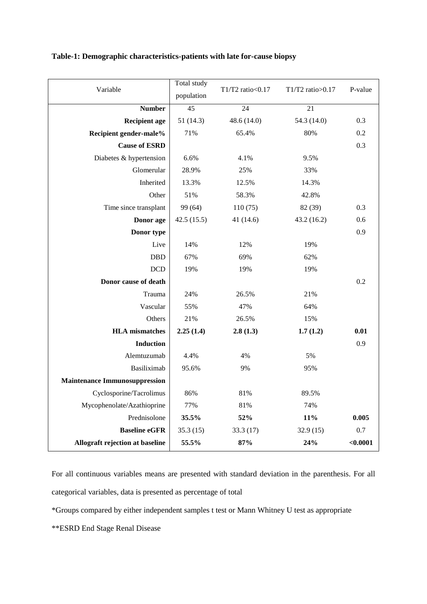| Variable                             | Total study | T1/T2 ratio<0.17 | T1/T2 ratio>0.17 | P-value  |
|--------------------------------------|-------------|------------------|------------------|----------|
|                                      | population  |                  |                  |          |
| <b>Number</b>                        | 45          | 24               | $\overline{21}$  |          |
| <b>Recipient age</b>                 | 51(14.3)    | 48.6 (14.0)      | 54.3 (14.0)      | 0.3      |
| Recipient gender-male%               | 71%         | 65.4%            | 80%              | 0.2      |
| <b>Cause of ESRD</b>                 |             |                  |                  | 0.3      |
| Diabetes & hypertension              | 6.6%        | 4.1%             | 9.5%             |          |
| Glomerular                           | 28.9%       | 25%              | 33%              |          |
| Inherited                            | 13.3%       | 12.5%            | 14.3%            |          |
| Other                                | 51%         | 58.3%            | 42.8%            |          |
| Time since transplant                | 99 (64)     | 110(75)          | 82 (39)          | 0.3      |
| Donor age                            | 42.5(15.5)  | 41 (14.6)        | 43.2(16.2)       | 0.6      |
| Donor type                           |             |                  |                  | 0.9      |
| Live                                 | 14%         | 12%              | 19%              |          |
| <b>DBD</b>                           | 67%         | 69%              | 62%              |          |
| <b>DCD</b>                           | 19%         | 19%              | 19%              |          |
| Donor cause of death                 |             |                  |                  | 0.2      |
| Trauma                               | 24%         | 26.5%            | 21%              |          |
| Vascular                             | 55%         | 47%              | 64%              |          |
| Others                               | 21%         | 26.5%            | 15%              |          |
| <b>HLA</b> mismatches                | 2.25(1.4)   | 2.8(1.3)         | 1.7(1.2)         | 0.01     |
| <b>Induction</b>                     |             |                  |                  | 0.9      |
| Alemtuzumab                          | 4.4%        | 4%               | 5%               |          |
| Basiliximab                          | 95.6%       | 9%               | 95%              |          |
| <b>Maintenance Immunosuppression</b> |             |                  |                  |          |
| Cyclosporine/Tacrolimus              | 86%         | 81%              | 89.5%            |          |
| Mycophenolate/Azathioprine           | 77%         | 81%              | 74%              |          |
| Prednisolone                         | 35.5%       | 52%              | 11%              | 0.005    |
| <b>Baseline eGFR</b>                 | 35.3(15)    | 33.3(17)         | 32.9(15)         | 0.7      |
| Allograft rejection at baseline      | 55.5%       | 87%              | 24%              | < 0.0001 |

# **Table-1: Demographic characteristics-patients with late for-cause biopsy**

For all continuous variables means are presented with standard deviation in the parenthesis. For all categorical variables, data is presented as percentage of total

\*Groups compared by either independent samples t test or Mann Whitney U test as appropriate

\*\*ESRD End Stage Renal Disease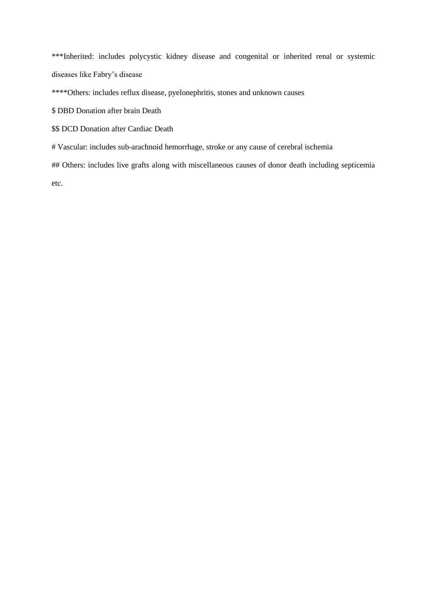\*\*\*Inherited: includes polycystic kidney disease and congenital or inherited renal or systemic diseases like Fabry's disease

\*\*\*\*Others: includes reflux disease, pyelonephritis, stones and unknown causes

\$ DBD Donation after brain Death

- \$\$ DCD Donation after Cardiac Death
- # Vascular: includes sub-arachnoid hemorrhage, stroke or any cause of cerebral ischemia

## Others: includes live grafts along with miscellaneous causes of donor death including septicemia etc.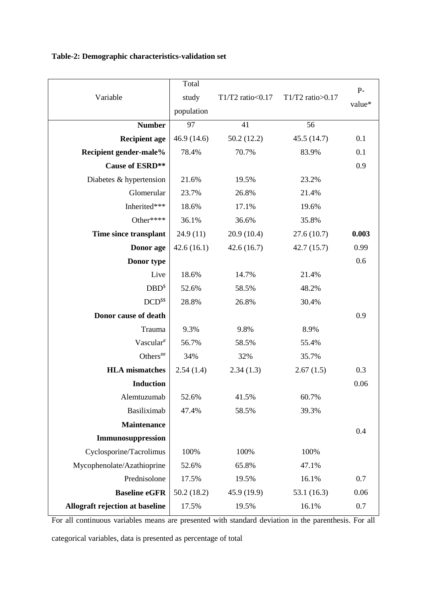|  |  | Table-2: Demographic characteristics-validation set |  |  |
|--|--|-----------------------------------------------------|--|--|
|--|--|-----------------------------------------------------|--|--|

| Variable                        | Total<br>study<br>population | T1/T2 ratio < $0.17$ | T1/T2 ratio> $0.17$ | $P-$<br>value* |
|---------------------------------|------------------------------|----------------------|---------------------|----------------|
| <b>Number</b>                   | 97                           | 41                   | 56                  |                |
| <b>Recipient age</b>            | 46.9(14.6)                   | 50.2(12.2)           | 45.5 (14.7)         | 0.1            |
| Recipient gender-male%          | 78.4%                        | 70.7%                | 83.9%               | 0.1            |
| <b>Cause of ESRD**</b>          |                              |                      |                     | 0.9            |
| Diabetes & hypertension         | 21.6%                        | 19.5%                | 23.2%               |                |
| Glomerular                      | 23.7%                        | 26.8%                | 21.4%               |                |
| Inherited***                    | 18.6%                        | 17.1%                | 19.6%               |                |
| Other****                       | 36.1%                        | 36.6%                | 35.8%               |                |
| Time since transplant           | 24.9(11)                     | 20.9 (10.4)          | 27.6(10.7)          | 0.003          |
| Donor age                       | 42.6(16.1)                   | 42.6(16.7)           | 42.7 (15.7)         | 0.99           |
| Donor type                      |                              |                      |                     | 0.6            |
| Live                            | 18.6%                        | 14.7%                | 21.4%               |                |
| DBD <sup>§</sup>                | 52.6%                        | 58.5%                | 48.2%               |                |
| DCD <sup>ss</sup>               | 28.8%                        | 26.8%                | 30.4%               |                |
| Donor cause of death            |                              |                      |                     | 0.9            |
| Trauma                          | 9.3%                         | 9.8%                 | 8.9%                |                |
| Vascular <sup>#</sup>           | 56.7%                        | 58.5%                | 55.4%               |                |
| Others##                        | 34%                          | 32%                  | 35.7%               |                |
| <b>HLA</b> mismatches           | 2.54(1.4)                    | 2.34(1.3)            | 2.67(1.5)           | 0.3            |
| <b>Induction</b>                |                              |                      |                     | 0.06           |
| Alemtuzumab                     | 52.6%                        | 41.5%                | 60.7%               |                |
| Basiliximab                     | 47.4%                        | 58.5%                | 39.3%               |                |
| <b>Maintenance</b>              |                              |                      |                     | 0.4            |
| Immunosuppression               |                              |                      |                     |                |
| Cyclosporine/Tacrolimus         | 100%                         | 100%                 | 100%                |                |
| Mycophenolate/Azathioprine      | 52.6%                        | 65.8%                | 47.1%               |                |
| Prednisolone                    | 17.5%                        | 19.5%                | 16.1%               | 0.7            |
| <b>Baseline eGFR</b>            | 50.2(18.2)                   | 45.9 (19.9)          | 53.1(16.3)          | 0.06           |
| Allograft rejection at baseline | 17.5%                        | 19.5%                | 16.1%               | 0.7            |

For all continuous variables means are presented with standard deviation in the parenthesis. For all categorical variables, data is presented as percentage of total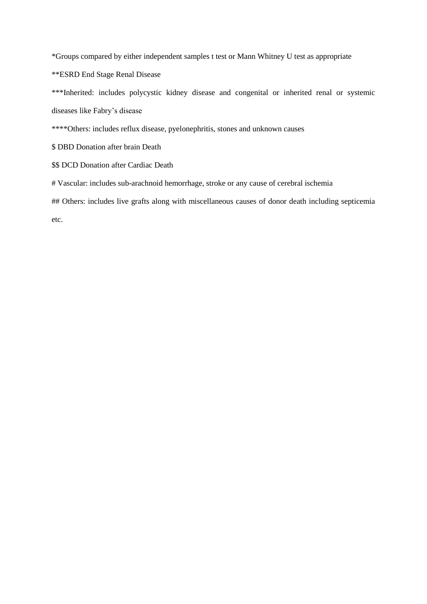\*Groups compared by either independent samples t test or Mann Whitney U test as appropriate

\*\*ESRD End Stage Renal Disease

\*\*\*Inherited: includes polycystic kidney disease and congenital or inherited renal or systemic diseases like Fabry's disease

\*\*\*\*Others: includes reflux disease, pyelonephritis, stones and unknown causes

\$ DBD Donation after brain Death

\$\$ DCD Donation after Cardiac Death

# Vascular: includes sub-arachnoid hemorrhage, stroke or any cause of cerebral ischemia

## Others: includes live grafts along with miscellaneous causes of donor death including septicemia

etc.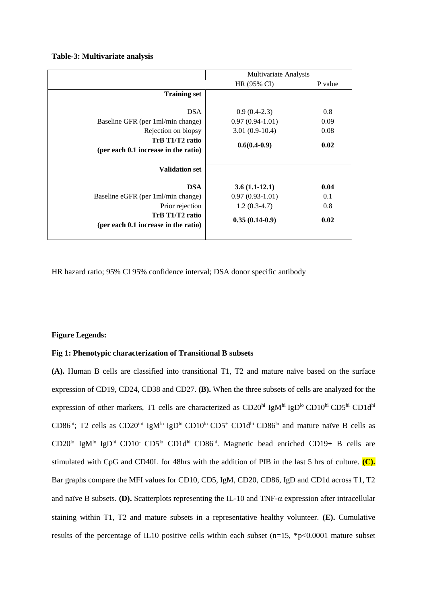#### **Table-3: Multivariate analysis**

|                                                                                                                                   | Multivariate Analysis                                                     |                             |  |
|-----------------------------------------------------------------------------------------------------------------------------------|---------------------------------------------------------------------------|-----------------------------|--|
|                                                                                                                                   | HR (95% CI)                                                               | P value                     |  |
| <b>Training set</b>                                                                                                               |                                                                           |                             |  |
| <b>DSA</b><br>Baseline GFR (per 1ml/min change)<br>Rejection on biopsy<br>TrB T1/T2 ratio<br>(per each 0.1 increase in the ratio) | $0.9(0.4-2.3)$<br>$0.97(0.94-1.01)$<br>$3.01(0.9-10.4)$<br>$0.6(0.4-0.9)$ | 0.8<br>0.09<br>0.08<br>0.02 |  |
| <b>Validation set</b>                                                                                                             |                                                                           |                             |  |
| <b>DSA</b>                                                                                                                        | $3.6(1.1-12.1)$                                                           | 0.04                        |  |
| Baseline eGFR (per 1ml/min change)                                                                                                | $0.97(0.93-1.01)$                                                         | 0.1                         |  |
| Prior rejection                                                                                                                   | $1.2(0.3-4.7)$                                                            | 0.8                         |  |
| TrB T1/T2 ratio<br>(per each 0.1 increase in the ratio)                                                                           | $0.35(0.14-0.9)$                                                          | 0.02                        |  |

HR hazard ratio; 95% CI 95% confidence interval; DSA donor specific antibody

### **Figure Legends:**

## **Fig 1: Phenotypic characterization of Transitional B subsets**

**(A).** Human B cells are classified into transitional T1, T2 and mature naïve based on the surface expression of CD19, CD24, CD38 and CD27. **(B).** When the three subsets of cells are analyzed for the expression of other markers, T1 cells are characterized as CD20<sup>hi</sup> IgM<sup>hi</sup> IgD<sup>lo</sup> CD10<sup>hi</sup> CD5<sup>hi</sup> CD1d<sup>hi</sup> CD86hi; T2 cells as CD20<sup>int</sup> IgM<sup>lo</sup> IgD<sup>hi</sup> CD10<sup>lo</sup> CD5<sup>+</sup> CD1d<sup>hi</sup> CD86<sup>lo</sup> and mature naïve B cells as CD20<sup>lo</sup> IgM<sup>lo</sup> IgD<sup>hi</sup> CD10<sup>-</sup> CD5<sup>lo</sup> CD1d<sup>hi</sup> CD86<sup>hi</sup>. Magnetic bead enriched CD19+ B cells are stimulated with CpG and CD40L for 48hrs with the addition of PIB in the last 5 hrs of culture. **(C).** Bar graphs compare the MFI values for CD10, CD5, IgM, CD20, CD86, IgD and CD1d across T1, T2 and naïve B subsets. **(D).** Scatterplots representing the IL-10 and TNF- $\alpha$  expression after intracellular staining within T1, T2 and mature subsets in a representative healthy volunteer. **(E).** Cumulative results of the percentage of IL10 positive cells within each subset (n=15, \*p<0.0001 mature subset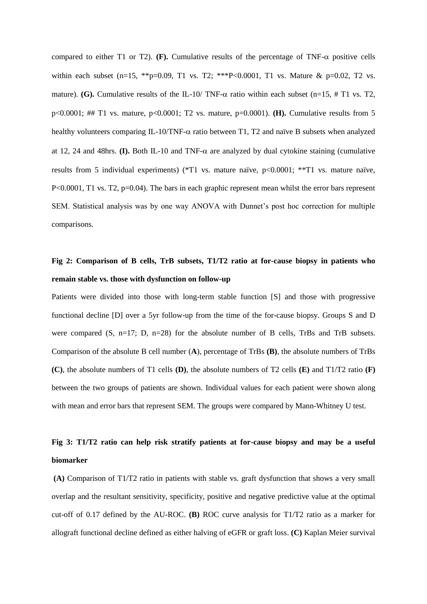compared to either T1 or T2). **(F).** Cumulative results of the percentage of TNF- $\alpha$  positive cells within each subset  $(n=15, **p=0.09, T1$  vs.  $T2; **P<0.0001, T1$  vs. Mature &  $p=0.02, T2$  vs. mature). **(G).** Cumulative results of the IL-10/ TNF- $\alpha$  ratio within each subset (n=15, # T1 vs. T2, p<0.0001; ## T1 vs. mature, p<0.0001; T2 vs. mature, p=0.0001). **(H).** Cumulative results from 5 healthy volunteers comparing IL-10/TNF- $\alpha$  ratio between T1, T2 and naïve B subsets when analyzed at 12, 24 and 48hrs. **(I).** Both IL-10 and TNF- $\alpha$  are analyzed by dual cytokine staining (cumulative results from 5 individual experiments) (\*T1 vs. mature naïve, p<0.0001; \*\*T1 vs. mature naïve, P<0.0001, T1 vs. T2, p=0.04). The bars in each graphic represent mean whilst the error bars represent SEM. Statistical analysis was by one way ANOVA with Dunnet's post hoc correction for multiple comparisons.

# **Fig 2: Comparison of B cells, TrB subsets, T1/T2 ratio at for-cause biopsy in patients who remain stable vs. those with dysfunction on follow-up**

Patients were divided into those with long-term stable function [S] and those with progressive functional decline [D] over a 5yr follow-up from the time of the for-cause biopsy. Groups S and D were compared (S, n=17; D, n=28) for the absolute number of B cells, TrBs and TrB subsets. Comparison of the absolute B cell number (**A**), percentage of TrBs **(B)**, the absolute numbers of TrBs **(C)**, the absolute numbers of T1 cells **(D)**, the absolute numbers of T2 cells **(E)** and T1/T2 ratio **(F)** between the two groups of patients are shown. Individual values for each patient were shown along with mean and error bars that represent SEM. The groups were compared by Mann-Whitney U test.

# **Fig 3: T1/T2 ratio can help risk stratify patients at for-cause biopsy and may be a useful biomarker**

**(A)** Comparison of T1/T2 ratio in patients with stable vs. graft dysfunction that shows a very small overlap and the resultant sensitivity, specificity, positive and negative predictive value at the optimal cut-off of 0.17 defined by the AU-ROC. **(B)** ROC curve analysis for T1/T2 ratio as a marker for allograft functional decline defined as either halving of eGFR or graft loss. **(C)** Kaplan Meier survival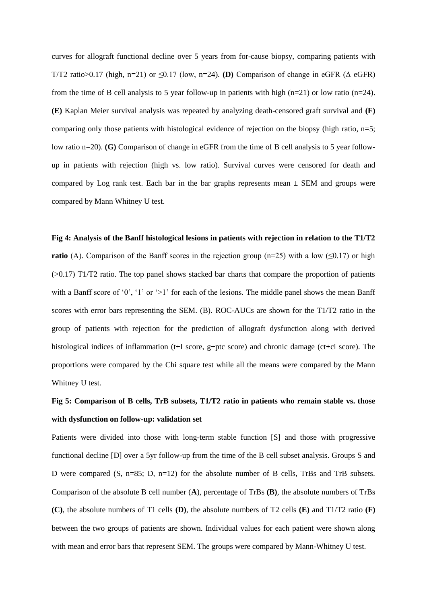curves for allograft functional decline over 5 years from for-cause biopsy, comparing patients with T/T2 ratio>0.17 (high, n=21) or  $\leq$ 0.17 (low, n=24). **(D)** Comparison of change in eGFR ( $\triangle$  eGFR) from the time of B cell analysis to 5 year follow-up in patients with high  $(n=21)$  or low ratio  $(n=24)$ . **(E)** Kaplan Meier survival analysis was repeated by analyzing death-censored graft survival and **(F)** comparing only those patients with histological evidence of rejection on the biopsy (high ratio,  $n=5$ ; low ratio n=20). **(G)** Comparison of change in eGFR from the time of B cell analysis to 5 year followup in patients with rejection (high vs. low ratio). Survival curves were censored for death and compared by Log rank test. Each bar in the bar graphs represents mean  $\pm$  SEM and groups were compared by Mann Whitney U test.

#### **Fig 4: Analysis of the Banff histological lesions in patients with rejection in relation to the T1/T2**

**ratio** (A). Comparison of the Banff scores in the rejection group  $(n=25)$  with a low ( $\leq 0.17$ ) or high  $(0.17)$  T1/T2 ratio. The top panel shows stacked bar charts that compare the proportion of patients with a Banff score of '0', '1' or '>1' for each of the lesions. The middle panel shows the mean Banff scores with error bars representing the SEM. (B). ROC-AUCs are shown for the T1/T2 ratio in the group of patients with rejection for the prediction of allograft dysfunction along with derived histological indices of inflammation (t+I score, g+ptc score) and chronic damage (ct+ci score). The proportions were compared by the Chi square test while all the means were compared by the Mann Whitney U test.

# **Fig 5: Comparison of B cells, TrB subsets, T1/T2 ratio in patients who remain stable vs. those with dysfunction on follow-up: validation set**

Patients were divided into those with long-term stable function [S] and those with progressive functional decline [D] over a 5yr follow-up from the time of the B cell subset analysis. Groups S and D were compared (S, n=85; D, n=12) for the absolute number of B cells, TrBs and TrB subsets. Comparison of the absolute B cell number (**A**), percentage of TrBs **(B)**, the absolute numbers of TrBs **(C)**, the absolute numbers of T1 cells **(D)**, the absolute numbers of T2 cells **(E)** and T1/T2 ratio **(F)** between the two groups of patients are shown. Individual values for each patient were shown along with mean and error bars that represent SEM. The groups were compared by Mann-Whitney U test.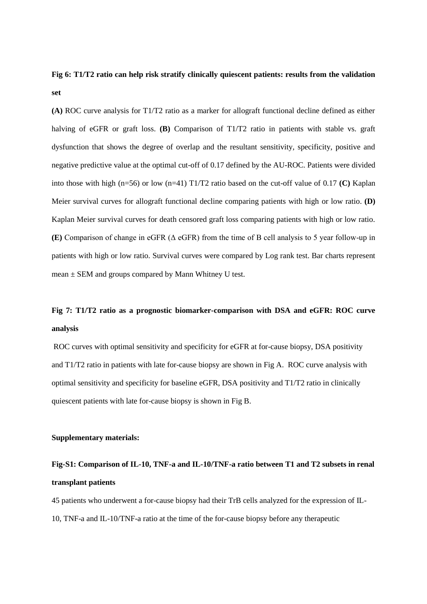# **Fig 6: T1/T2 ratio can help risk stratify clinically quiescent patients: results from the validation set**

**(A)** ROC curve analysis for T1/T2 ratio as a marker for allograft functional decline defined as either halving of eGFR or graft loss. **(B)** Comparison of T1/T2 ratio in patients with stable vs. graft dysfunction that shows the degree of overlap and the resultant sensitivity, specificity, positive and negative predictive value at the optimal cut-off of 0.17 defined by the AU-ROC. Patients were divided into those with high (n=56) or low (n=41) T1/T2 ratio based on the cut-off value of 0.17 **(C)** Kaplan Meier survival curves for allograft functional decline comparing patients with high or low ratio. **(D)** Kaplan Meier survival curves for death censored graft loss comparing patients with high or low ratio. **(E)** Comparison of change in eGFR (Δ eGFR) from the time of B cell analysis to 5 year follow-up in patients with high or low ratio. Survival curves were compared by Log rank test. Bar charts represent mean  $\pm$  SEM and groups compared by Mann Whitney U test.

# **Fig 7: T1/T2 ratio as a prognostic biomarker-comparison with DSA and eGFR: ROC curve analysis**

ROC curves with optimal sensitivity and specificity for eGFR at for-cause biopsy, DSA positivity and T1/T2 ratio in patients with late for-cause biopsy are shown in Fig A. ROC curve analysis with optimal sensitivity and specificity for baseline eGFR, DSA positivity and T1/T2 ratio in clinically quiescent patients with late for-cause biopsy is shown in Fig B.

# **Supplementary materials:**

# **Fig-S1: Comparison of IL-10, TNF-a and IL-10/TNF-a ratio between T1 and T2 subsets in renal transplant patients**

45 patients who underwent a for-cause biopsy had their TrB cells analyzed for the expression of IL-10, TNF-a and IL-10/TNF-a ratio at the time of the for-cause biopsy before any therapeutic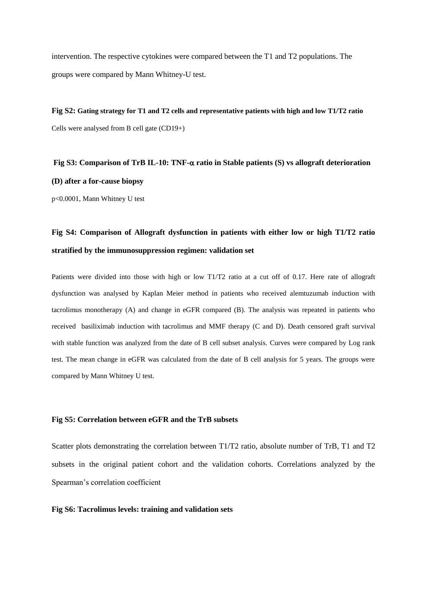intervention. The respective cytokines were compared between the T1 and T2 populations. The groups were compared by Mann Whitney-U test.

**Fig S2: Gating strategy for T1 and T2 cells and representative patients with high and low T1/T2 ratio**  Cells were analysed from B cell gate (CD19+)

**Fig S3: Comparison of TrB IL-10: TNF- ratio in Stable patients (S) vs allograft deterioration (D) after a for-cause biopsy**

p<0.0001, Mann Whitney U test

# **Fig S4: Comparison of Allograft dysfunction in patients with either low or high T1/T2 ratio stratified by the immunosuppression regimen: validation set**

Patients were divided into those with high or low T1/T2 ratio at a cut off of 0.17. Here rate of allograft dysfunction was analysed by Kaplan Meier method in patients who received alemtuzumab induction with tacrolimus monotherapy (A) and change in eGFR compared (B). The analysis was repeated in patients who received basiliximab induction with tacrolimus and MMF therapy (C and D). Death censored graft survival with stable function was analyzed from the date of B cell subset analysis. Curves were compared by Log rank test. The mean change in eGFR was calculated from the date of B cell analysis for 5 years. The groups were compared by Mann Whitney U test.

# **Fig S5: Correlation between eGFR and the TrB subsets**

Scatter plots demonstrating the correlation between T1/T2 ratio, absolute number of TrB, T1 and T2 subsets in the original patient cohort and the validation cohorts. Correlations analyzed by the Spearman's correlation coefficient

#### **Fig S6: Tacrolimus levels: training and validation sets**